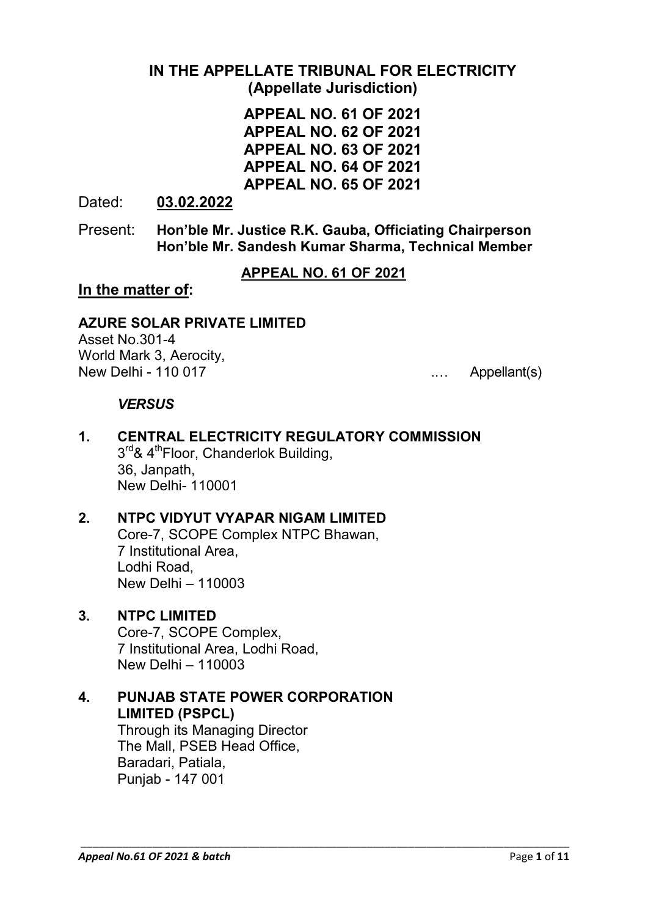## **IN THE APPELLATE TRIBUNAL FOR ELECTRICITY (Appellate Jurisdiction)**

**APPEAL NO. 61 OF 2021 APPEAL NO. 62 OF 2021 APPEAL NO. 63 OF 2021 APPEAL NO. 64 OF 2021 APPEAL NO. 65 OF 2021**

Dated: **03.02.2022**

Present: **Hon'ble Mr. Justice R.K. Gauba, Officiating Chairperson Hon'ble Mr. Sandesh Kumar Sharma, Technical Member**

**APPEAL NO. 61 OF 2021**

\_\_\_\_\_\_\_\_\_\_\_\_\_\_\_\_\_\_\_\_\_\_\_\_\_\_\_\_\_\_\_\_\_\_\_\_\_\_\_\_\_\_\_\_\_\_\_\_\_\_\_\_\_\_\_\_\_\_\_\_\_\_\_\_\_\_\_\_\_\_\_\_\_\_\_\_\_\_\_\_\_\_

## **In the matter of:**

## **AZURE SOLAR PRIVATE LIMITED**

Asset No.301-4 World Mark 3, Aerocity, New Delhi - 110 017 **...** 2010 **...** Appellant(s)

### *VERSUS*

#### **1. CENTRAL ELECTRICITY REGULATORY COMMISSION**  $3<sup>rd</sup>$ &  $4<sup>th</sup>$ Floor, Chanderlok Building, 36, Janpath, New Delhi- 110001

## **2. NTPC VIDYUT VYAPAR NIGAM LIMITED**

Core-7, SCOPE Complex NTPC Bhawan, 7 Institutional Area, Lodhi Road, New Delhi – 110003

### **3. NTPC LIMITED**

Core-7, SCOPE Complex, 7 Institutional Area, Lodhi Road, New Delhi – 110003

## **4. PUNJAB STATE POWER CORPORATION LIMITED (PSPCL)**

Through its Managing Director The Mall, PSEB Head Office, Baradari, Patiala, Punjab - 147 001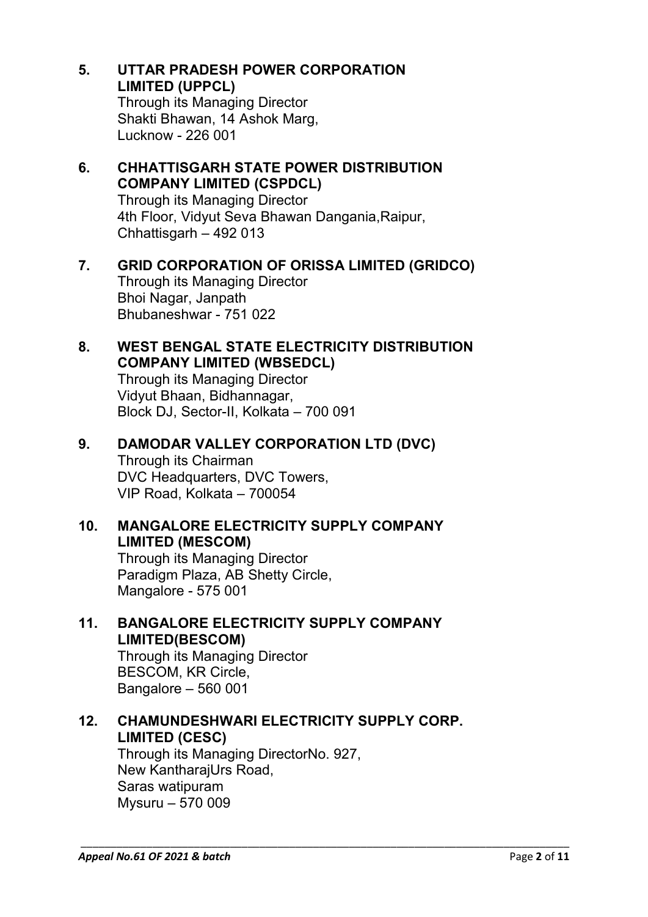- **5. UTTAR PRADESH POWER CORPORATION LIMITED (UPPCL)** Through its Managing Director Shakti Bhawan, 14 Ashok Marg, Lucknow - 226 001
- **6. CHHATTISGARH STATE POWER DISTRIBUTION COMPANY LIMITED (CSPDCL)** Through its Managing Director 4th Floor, Vidyut Seva Bhawan Dangania,Raipur, Chhattisgarh – 492 013
- **7. GRID CORPORATION OF ORISSA LIMITED (GRIDCO)** Through its Managing Director Bhoi Nagar, Janpath Bhubaneshwar - 751 022

## **8. WEST BENGAL STATE ELECTRICITY DISTRIBUTION COMPANY LIMITED (WBSEDCL)**

Through its Managing Director Vidyut Bhaan, Bidhannagar, Block DJ, Sector-II, Kolkata – 700 091

## **9. DAMODAR VALLEY CORPORATION LTD (DVC)**

Through its Chairman DVC Headquarters, DVC Towers, VIP Road, Kolkata – 700054

## **10. MANGALORE ELECTRICITY SUPPLY COMPANY LIMITED (MESCOM)**

Through its Managing Director Paradigm Plaza, AB Shetty Circle, Mangalore - 575 001

## **11. BANGALORE ELECTRICITY SUPPLY COMPANY LIMITED(BESCOM)**

Through its Managing Director BESCOM, KR Circle, Bangalore – 560 001

## **12. CHAMUNDESHWARI ELECTRICITY SUPPLY CORP. LIMITED (CESC)**

\_\_\_\_\_\_\_\_\_\_\_\_\_\_\_\_\_\_\_\_\_\_\_\_\_\_\_\_\_\_\_\_\_\_\_\_\_\_\_\_\_\_\_\_\_\_\_\_\_\_\_\_\_\_\_\_\_\_\_\_\_\_\_\_\_\_\_\_\_\_\_\_\_\_\_\_\_\_\_\_\_\_

Through its Managing DirectorNo. 927, New KantharajUrs Road, Saras watipuram Mysuru – 570 009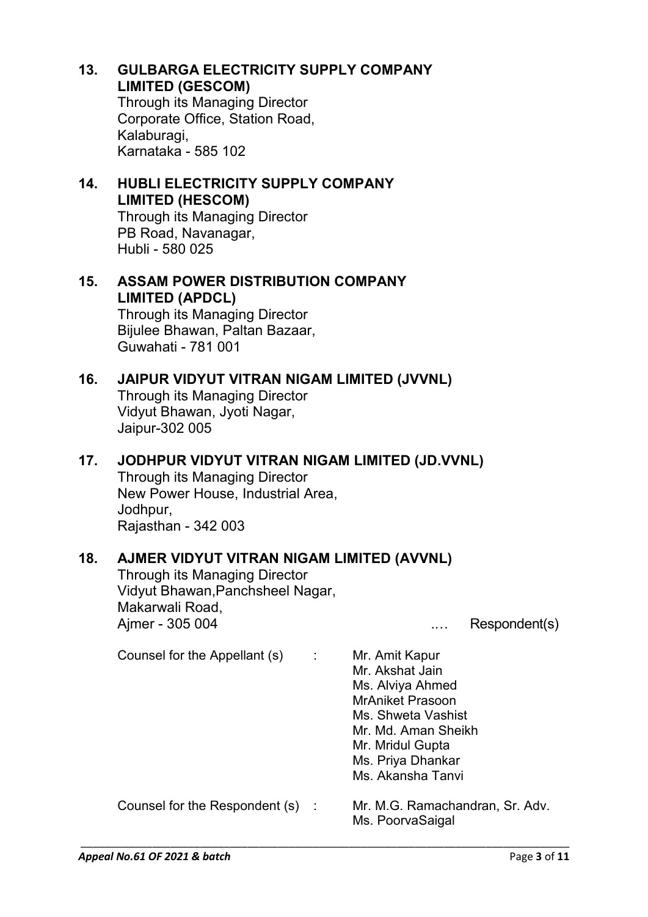**13. GULBARGA ELECTRICITY SUPPLY COMPANY LIMITED (GESCOM)** Through its Managing Director Corporate Office, Station Road, Kalaburagi, Karnataka - 585 102

# **14. HUBLI ELECTRICITY SUPPLY COMPANY LIMITED (HESCOM)**

Through its Managing Director PB Road, Navanagar, Hubli - 580 025

# **15. ASSAM POWER DISTRIBUTION COMPANY LIMITED (APDCL)**

Through its Managing Director Bijulee Bhawan, Paltan Bazaar, Guwahati - 781 001

## **16. JAIPUR VIDYUT VITRAN NIGAM LIMITED (JVVNL)**

Through its Managing Director Vidyut Bhawan, Jyoti Nagar, Jaipur-302 005

## **17. JODHPUR VIDYUT VITRAN NIGAM LIMITED (JD.VVNL)**

Through its Managing Director New Power House, Industrial Area, Jodhpur, Rajasthan - 342 003

## **18. AJMER VIDYUT VITRAN NIGAM LIMITED (AVVNL)**

Through its Managing Director Vidyut Bhawan,Panchsheel Nagar, Makarwali Road, Ajmer - 305 004 .… Respondent(s)

| Counsel for the Appellant (s)  | ÷ | Mr. Amit Kapur<br>Mr. Akshat Jain<br>Ms. Alviya Ahmed<br><b>MrAniket Prasoon</b><br>Ms. Shweta Vashist<br>Mr. Md. Aman Sheikh<br>Mr. Mridul Gupta<br>Ms. Priya Dhankar<br>Ms. Akansha Tanvi |
|--------------------------------|---|---------------------------------------------------------------------------------------------------------------------------------------------------------------------------------------------|
| Counsel for the Respondent (s) |   | Mr. M.G. Ramachandran, Sr. Adv.<br>Ms. PoorvaSaigal                                                                                                                                         |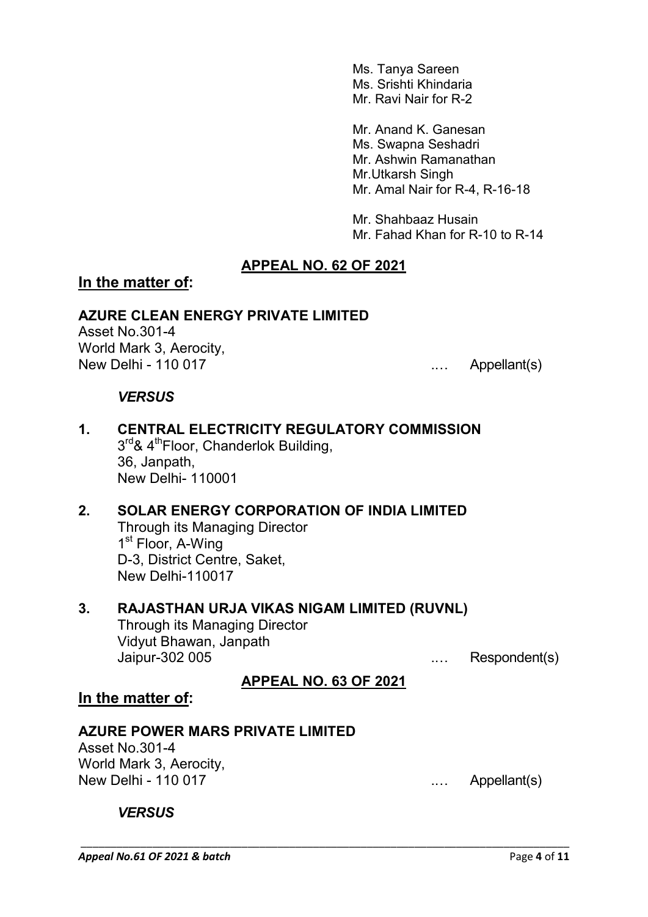Ms. Tanya Sareen Ms. Srishti Khindaria Mr. Ravi Nair for R-2

Mr. Anand K. Ganesan Ms. Swapna Seshadri Mr. Ashwin Ramanathan Mr.Utkarsh Singh Mr. Amal Nair for R-4, R-16-18

Mr. Shahbaaz Husain Mr. Fahad Khan for R-10 to R-14

## **APPEAL NO. 62 OF 2021**

### **In the matter of:**

#### **AZURE CLEAN ENERGY PRIVATE LIMITED**

Asset No.301-4 World Mark 3, Aerocity, New Delhi - 110 017 **.... Appellant**(s)

#### *VERSUS*

- **1. CENTRAL ELECTRICITY REGULATORY COMMISSION**  $3<sup>rd</sup>$ & 4<sup>th</sup>Floor, Chanderlok Building, 36, Janpath, New Delhi- 110001
- **2. SOLAR ENERGY CORPORATION OF INDIA LIMITED** Through its Managing Director 1<sup>st</sup> Floor, A-Wing D-3, District Centre, Saket, New Delhi-110017

#### **3. RAJASTHAN URJA VIKAS NIGAM LIMITED (RUVNL)** Through its Managing Director Vidyut Bhawan, Janpath

Jaipur-302 005 .… Respondent(s)

### **APPEAL NO. 63 OF 2021**

\_\_\_\_\_\_\_\_\_\_\_\_\_\_\_\_\_\_\_\_\_\_\_\_\_\_\_\_\_\_\_\_\_\_\_\_\_\_\_\_\_\_\_\_\_\_\_\_\_\_\_\_\_\_\_\_\_\_\_\_\_\_\_\_\_\_\_\_\_\_\_\_\_\_\_\_\_\_\_\_\_\_

### **In the matter of:**

#### **AZURE POWER MARS PRIVATE LIMITED**

Asset No.301-4 World Mark 3, Aerocity, New Delhi - 110 017 **...** Appellant(s)

#### *VERSUS*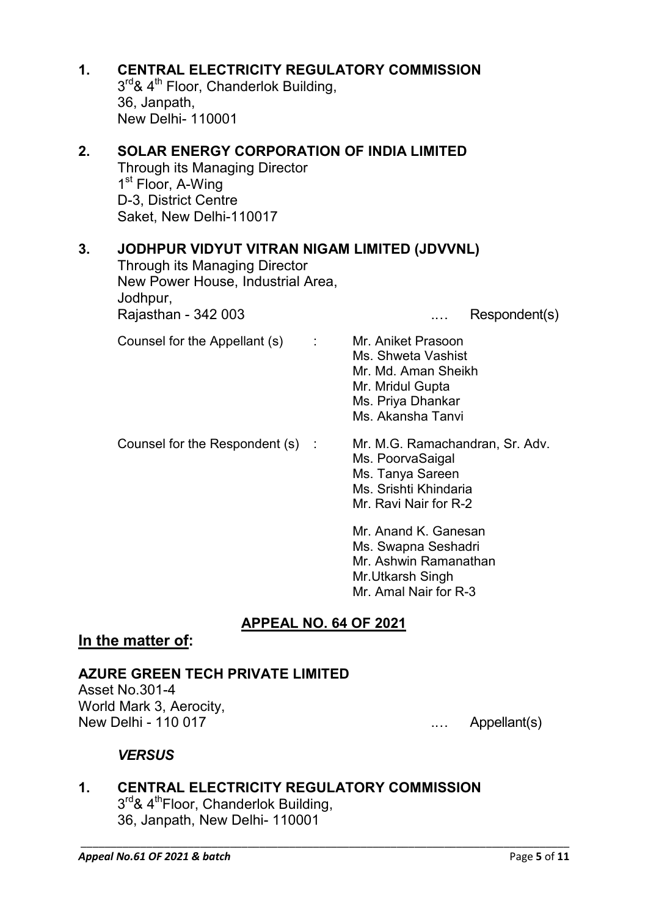| 1. | <b>CENTRAL ELECTRICITY REGULATORY COMMISSION</b><br>3 <sup>rd</sup> & 4 <sup>th</sup> Floor, Chanderlok Building,<br>36, Janpath,<br><b>New Delhi- 110001</b>                             |                                                                                                                               |  |  |
|----|-------------------------------------------------------------------------------------------------------------------------------------------------------------------------------------------|-------------------------------------------------------------------------------------------------------------------------------|--|--|
| 2. | <b>SOLAR ENERGY CORPORATION OF INDIA LIMITED</b><br><b>Through its Managing Director</b><br>1 <sup>st</sup> Floor, A-Wing<br>D-3, District Centre<br>Saket, New Delhi-110017              |                                                                                                                               |  |  |
| 3. | JODHPUR VIDYUT VITRAN NIGAM LIMITED (JDVVNL)<br><b>Through its Managing Director</b><br>New Power House, Industrial Area.<br>Jodhpur,<br>Rajasthan - 342 003<br>Respondent(s)<br>$\cdots$ |                                                                                                                               |  |  |
|    | Counsel for the Appellant (s)<br>÷                                                                                                                                                        | Mr. Aniket Prasoon<br>Ms. Shweta Vashist<br>Mr. Md. Aman Sheikh<br>Mr. Mridul Gupta<br>Ms. Priya Dhankar<br>Ms. Akansha Tanvi |  |  |
|    | Counsel for the Respondent (s)                                                                                                                                                            | Mr. M.G. Ramachandran, Sr. Adv.<br>Ms. PoorvaSaigal<br>Ms. Tanya Sareen<br>Ms. Srishti Khindaria<br>Mr. Ravi Nair for R-2     |  |  |
|    |                                                                                                                                                                                           | Mr. Anand K. Ganesan<br>Ms. Swapna Seshadri<br>Mr. Ashwin Ramanathan<br>Mr.Utkarsh Singh<br>Mr. Amal Nair for R-3             |  |  |

## **APPEAL NO. 64 OF 2021**

\_\_\_\_\_\_\_\_\_\_\_\_\_\_\_\_\_\_\_\_\_\_\_\_\_\_\_\_\_\_\_\_\_\_\_\_\_\_\_\_\_\_\_\_\_\_\_\_\_\_\_\_\_\_\_\_\_\_\_\_\_\_\_\_\_\_\_\_\_\_\_\_\_\_\_\_\_\_\_\_\_\_

## **In the matter of:**

### **AZURE GREEN TECH PRIVATE LIMITED**

Asset No.301-4 World Mark 3, Aerocity,<br>New Delhi - 110 017

.... Appellant(s)

## *VERSUS*

**1. CENTRAL ELECTRICITY REGULATORY COMMISSION** 3<sup>rd</sup>& 4<sup>th</sup>Floor, Chanderlok Building, 36, Janpath, New Delhi- 110001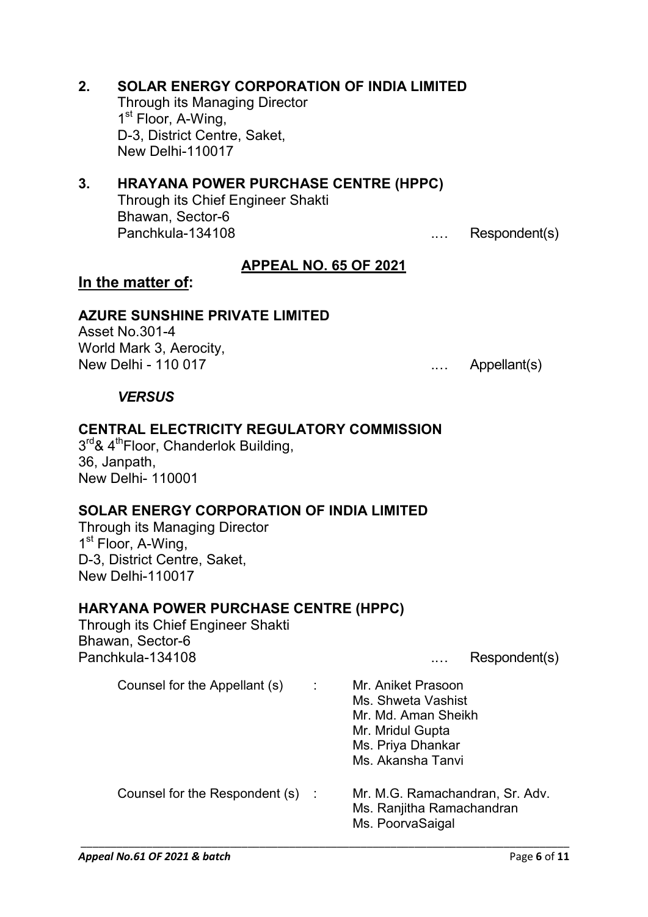$\ldots$  Appellant(s) *VERSUS* Panchkula-134108 .... Respondent(s) Counsel for the Appellant (s) : Mr. Aniket Prasoon Ms. Shweta Vashist Mr. Md. Aman Sheikh Mr. Mridul Gupta

Panchkula-134108 ... Respondent(s)

**APPEAL NO. 65 OF 2021**

## **AZURE SUNSHINE PRIVATE LIMITED**

Through its Managing Director

Through its Chief Engineer Shakti

D-3, District Centre, Saket,

1<sup>st</sup> Floor, A-Wing,

New Delhi-110017

Bhawan, Sector-6

Asset No.301-4 World Mark 3, Aerocity,<br>New Delhi - 110 017

**In the matter of:**

## **CENTRAL ELECTRICITY REGULATORY COMMISSION**

**2. SOLAR ENERGY CORPORATION OF INDIA LIMITED**

**3. HRAYANA POWER PURCHASE CENTRE (HPPC)**

 $3<sup>rd</sup>$ & 4<sup>th</sup>Floor, Chanderlok Building, 36, Janpath, New Delhi- 110001

# **SOLAR ENERGY CORPORATION OF INDIA LIMITED**

Through its Managing Director 1<sup>st</sup> Floor, A-Wing, D-3, District Centre, Saket, New Delhi-110017

# **HARYANA POWER PURCHASE CENTRE (HPPC)**

Through its Chief Engineer Shakti Bhawan, Sector-6

Ms. Priya Dhankar Ms. Akansha Tanvi Counsel for the Respondent (s) : Mr. M.G. Ramachandran, Sr. Adv. Ms. Ranjitha Ramachandran Ms. PoorvaSaigal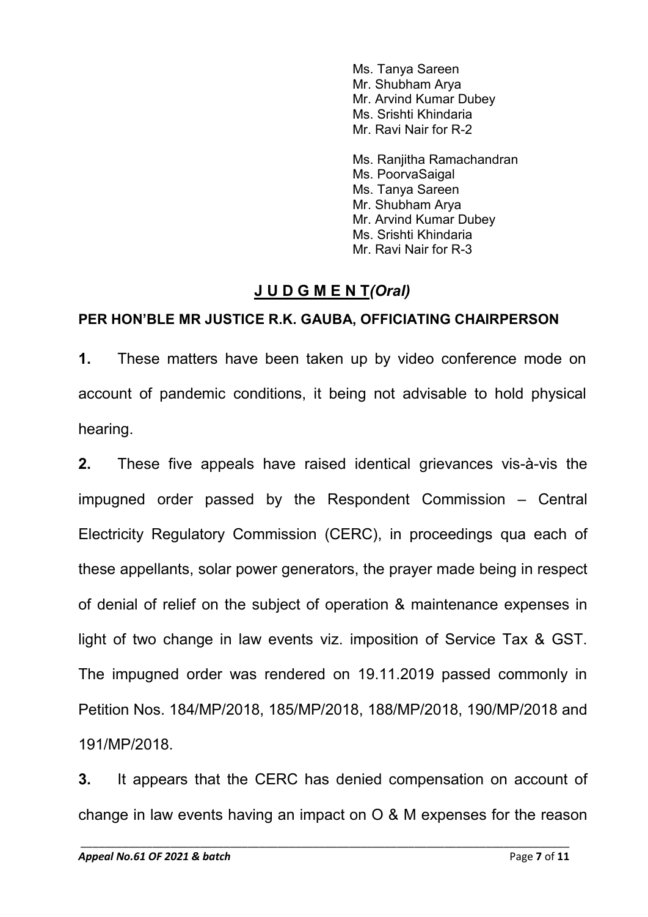Ms. Tanya Sareen Mr. Shubham Arya Mr. Arvind Kumar Dubey Ms. Srishti Khindaria Mr. Ravi Nair for R-2

Ms. Ranjitha Ramachandran Ms. PoorvaSaigal Ms. Tanya Sareen Mr. Shubham Arya Mr. Arvind Kumar Dubey Ms. Srishti Khindaria Mr. Ravi Nair for R-3

# **J U D G M E N T***(Oral)*

## **PER HON'BLE MR JUSTICE R.K. GAUBA, OFFICIATING CHAIRPERSON**

**1.** These matters have been taken up by video conference mode on account of pandemic conditions, it being not advisable to hold physical hearing.

**2.** These five appeals have raised identical grievances vis-à-vis the impugned order passed by the Respondent Commission – Central Electricity Regulatory Commission (CERC), in proceedings qua each of these appellants, solar power generators, the prayer made being in respect of denial of relief on the subject of operation & maintenance expenses in light of two change in law events viz. imposition of Service Tax & GST. The impugned order was rendered on 19.11.2019 passed commonly in Petition Nos. 184/MP/2018, 185/MP/2018, 188/MP/2018, 190/MP/2018 and 191/MP/2018.

**3.** It appears that the CERC has denied compensation on account of change in law events having an impact on O & M expenses for the reason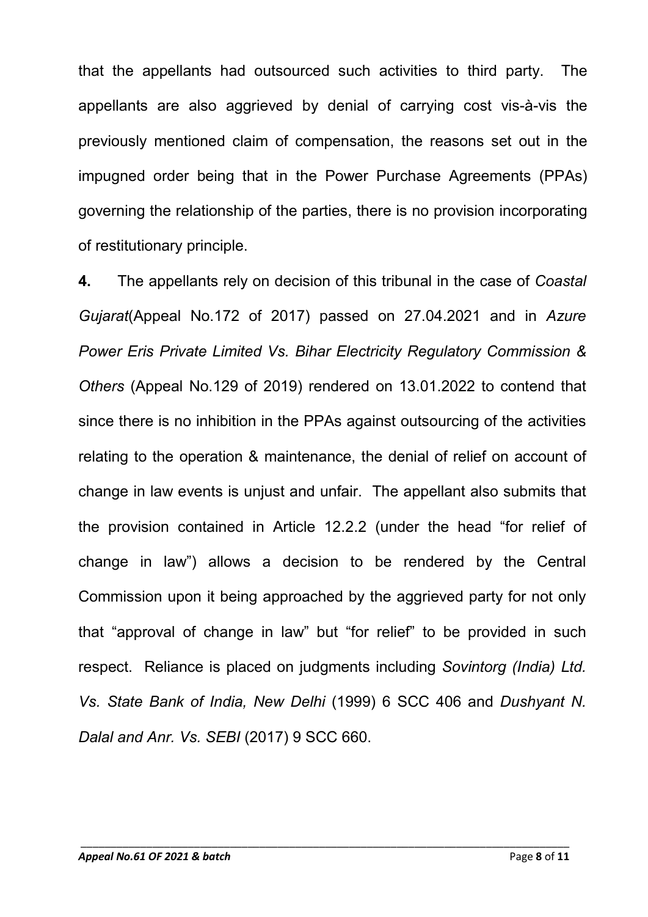that the appellants had outsourced such activities to third party. The appellants are also aggrieved by denial of carrying cost vis-à-vis the previously mentioned claim of compensation, the reasons set out in the impugned order being that in the Power Purchase Agreements (PPAs) governing the relationship of the parties, there is no provision incorporating of restitutionary principle.

**4.** The appellants rely on decision of this tribunal in the case of *Coastal Gujarat*(Appeal No.172 of 2017) passed on 27.04.2021 and in *Azure Power Eris Private Limited Vs. Bihar Electricity Regulatory Commission & Others* (Appeal No.129 of 2019) rendered on 13.01.2022 to contend that since there is no inhibition in the PPAs against outsourcing of the activities relating to the operation & maintenance, the denial of relief on account of change in law events is unjust and unfair. The appellant also submits that the provision contained in Article 12.2.2 (under the head "for relief of change in law") allows a decision to be rendered by the Central Commission upon it being approached by the aggrieved party for not only that "approval of change in law" but "for relief" to be provided in such respect. Reliance is placed on judgments including *Sovintorg (India) Ltd. Vs. State Bank of India, New Delhi* (1999) 6 SCC 406 and *Dushyant N. Dalal and Anr. Vs. SEBI* (2017) 9 SCC 660.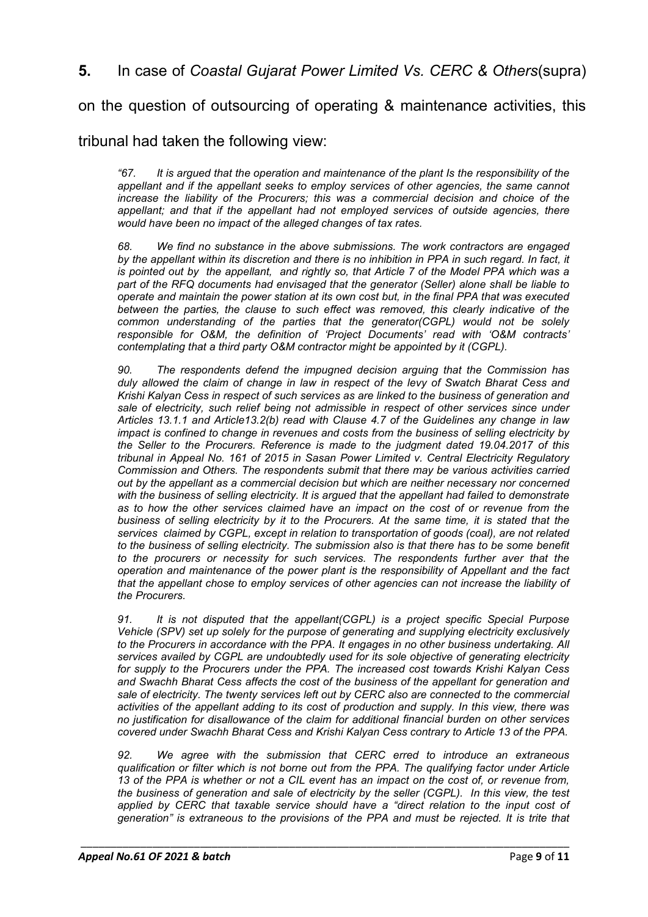**5.** In case of *Coastal Gujarat Power Limited Vs. CERC & Others*(supra)

on the question of outsourcing of operating & maintenance activities, this

### tribunal had taken the following view:

*"67. It is argued that the operation and maintenance of the plant Is the responsibility of the appellant and if the appellant seeks to employ services of other agencies, the same cannot increase the liability of the Procurers; this was a commercial decision and choice of the appellant; and that if the appellant had not employed services of outside agencies, there would have been no impact of the alleged changes of tax rates.*

*68. We find no substance in the above submissions. The work contractors are engaged by the appellant within its discretion and there is no inhibition in PPA in such regard. In fact, it is pointed out by the appellant, and rightly so, that Article 7 of the Model PPA which was a part of the RFQ documents had envisaged that the generator (Seller) alone shall be liable to operate and maintain the power station at its own cost but, in the final PPA that was executed between the parties, the clause to such effect was removed, this clearly indicative of the common understanding of the parties that the generator(CGPL) would not be solely responsible for O&M, the definition of 'Project Documents' read with 'O&M contracts' contemplating that a third party O&M contractor might be appointed by it (CGPL).*

*90. The respondents defend the impugned decision arguing that the Commission has duly allowed the claim of change in law in respect of the levy of Swatch Bharat Cess and Krishi Kalyan Cess in respect of such services as are linked to the business of generation and sale of electricity, such relief being not admissible in respect of other services since under Articles 13.1.1 and Article13.2(b) read with Clause 4.7 of the Guidelines any change in law impact is confined to change in revenues and costs from the business of selling electricity by the Seller to the Procurers. Reference is made to the judgment dated 19.04.2017 of this tribunal in Appeal No. 161 of 2015 in Sasan Power Limited v. Central Electricity Regulatory Commission and Others. The respondents submit that there may be various activities carried out by the appellant as a commercial decision but which are neither necessary nor concerned with the business of selling electricity. It is argued that the appellant had failed to demonstrate as to how the other services claimed have an impact on the cost of or revenue from the business of selling electricity by it to the Procurers. At the same time, it is stated that the services claimed by CGPL, except in relation to transportation of goods (coal), are not related to the business of selling electricity. The submission also is that there has to be some benefit to the procurers or necessity for such services. The respondents further aver that the operation and maintenance of the power plant is the responsibility of Appellant and the fact that the appellant chose to employ services of other agencies can not increase the liability of the Procurers.*

*91. It is not disputed that the appellant(CGPL) is a project specific Special Purpose Vehicle (SPV) set up solely for the purpose of generating and supplying electricity exclusively to the Procurers in accordance with the PPA. It engages in no other business undertaking. All services availed by CGPL are undoubtedly used for its sole objective of generating electricity for supply to the Procurers under the PPA. The increased cost towards Krishi Kalyan Cess and Swachh Bharat Cess affects the cost of the business of the appellant for generation and sale of electricity. The twenty services left out by CERC also are connected to the commercial activities of the appellant adding to its cost of production and supply. In this view, there was no justification for disallowance of the claim for additional financial burden on other services covered under Swachh Bharat Cess and Krishi Kalyan Cess contrary to Article 13 of the PPA.*

*92. We agree with the submission that CERC erred to introduce an extraneous qualification or filter which is not borne out from the PPA. The qualifying factor under Article 13 of the PPA is whether or not a CIL event has an impact on the cost of, or revenue from, the business of generation and sale of electricity by the seller (CGPL). In this view, the test applied by CERC that taxable service should have a "direct relation to the input cost of generation" is extraneous to the provisions of the PPA and must be rejected. It is trite that*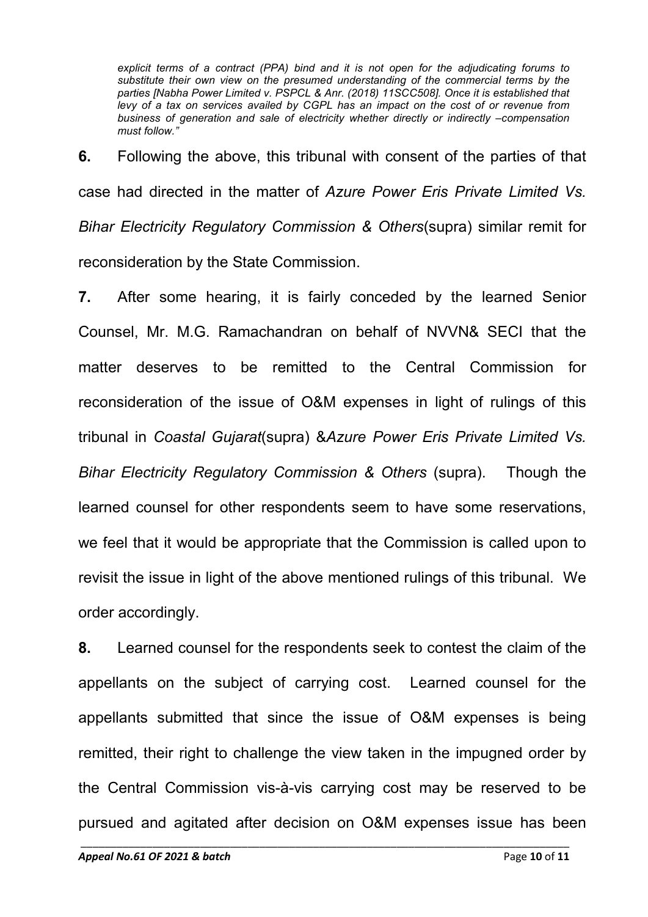*explicit terms of a contract (PPA) bind and it is not open for the adjudicating forums to substitute their own view on the presumed understanding of the commercial terms by the parties [Nabha Power Limited v. PSPCL & Anr. (2018) 11SCC508]. Once it is established that levy of a tax on services availed by CGPL has an impact on the cost of or revenue from business of generation and sale of electricity whether directly or indirectly –compensation must follow."*

**6.** Following the above, this tribunal with consent of the parties of that case had directed in the matter of *Azure Power Eris Private Limited Vs. Bihar Electricity Regulatory Commission & Others*(supra) similar remit for reconsideration by the State Commission.

**7.** After some hearing, it is fairly conceded by the learned Senior Counsel, Mr. M.G. Ramachandran on behalf of NVVN& SECI that the matter deserves to be remitted to the Central Commission for reconsideration of the issue of O&M expenses in light of rulings of this tribunal in *Coastal Gujarat*(supra) &*Azure Power Eris Private Limited Vs. Bihar Electricity Regulatory Commission & Others* (supra). Though the learned counsel for other respondents seem to have some reservations, we feel that it would be appropriate that the Commission is called upon to revisit the issue in light of the above mentioned rulings of this tribunal. We order accordingly.

**8.** Learned counsel for the respondents seek to contest the claim of the appellants on the subject of carrying cost. Learned counsel for the appellants submitted that since the issue of O&M expenses is being remitted, their right to challenge the view taken in the impugned order by the Central Commission vis-à-vis carrying cost may be reserved to be pursued and agitated after decision on O&M expenses issue has been